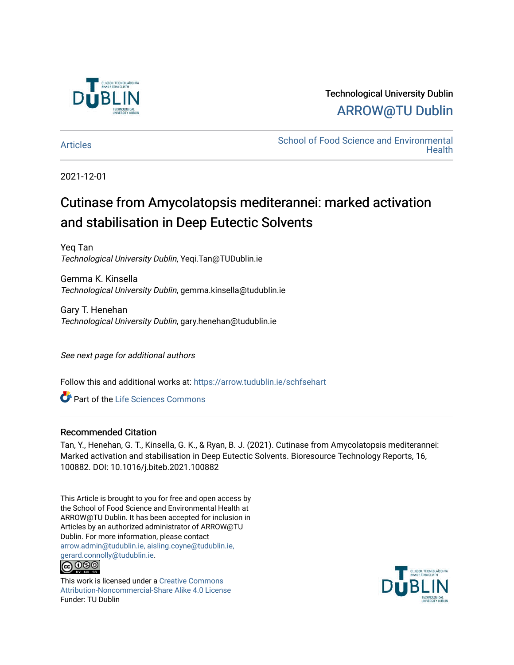

Technological University Dublin [ARROW@TU Dublin](https://arrow.tudublin.ie/) 

[Articles](https://arrow.tudublin.ie/schfsehart) **School of Food Science and Environmental Health** 

2021-12-01

# Cutinase from Amycolatopsis mediterannei: marked activation and stabilisation in Deep Eutectic Solvents

Yeq Tan Technological University Dublin, Yeqi.Tan@TUDublin.ie

Gemma K. Kinsella Technological University Dublin, gemma.kinsella@tudublin.ie

Gary T. Henehan Technological University Dublin, gary.henehan@tudublin.ie

See next page for additional authors

Follow this and additional works at: [https://arrow.tudublin.ie/schfsehart](https://arrow.tudublin.ie/schfsehart?utm_source=arrow.tudublin.ie%2Fschfsehart%2F460&utm_medium=PDF&utm_campaign=PDFCoverPages) 

Part of the [Life Sciences Commons](http://network.bepress.com/hgg/discipline/1016?utm_source=arrow.tudublin.ie%2Fschfsehart%2F460&utm_medium=PDF&utm_campaign=PDFCoverPages) 

#### Recommended Citation

Tan, Y., Henehan, G. T., Kinsella, G. K., & Ryan, B. J. (2021). Cutinase from Amycolatopsis mediterannei: Marked activation and stabilisation in Deep Eutectic Solvents. Bioresource Technology Reports, 16, 100882. DOI: 10.1016/j.biteb.2021.100882

This Article is brought to you for free and open access by the School of Food Science and Environmental Health at ARROW@TU Dublin. It has been accepted for inclusion in Articles by an authorized administrator of ARROW@TU Dublin. For more information, please contact [arrow.admin@tudublin.ie, aisling.coyne@tudublin.ie,](mailto:arrow.admin@tudublin.ie,%20aisling.coyne@tudublin.ie,%20gerard.connolly@tudublin.ie)  [gerard.connolly@tudublin.ie](mailto:arrow.admin@tudublin.ie,%20aisling.coyne@tudublin.ie,%20gerard.connolly@tudublin.ie).



This work is licensed under a [Creative Commons](http://creativecommons.org/licenses/by-nc-sa/4.0/) [Attribution-Noncommercial-Share Alike 4.0 License](http://creativecommons.org/licenses/by-nc-sa/4.0/) Funder: TU Dublin

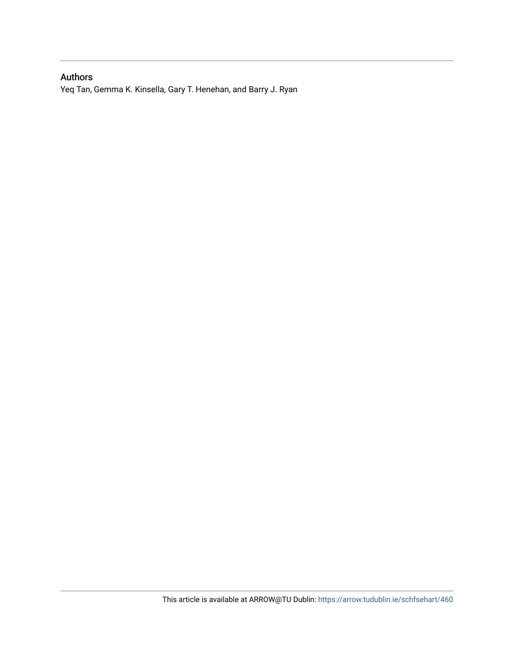## Authors

Yeq Tan, Gemma K. Kinsella, Gary T. Henehan, and Barry J. Ryan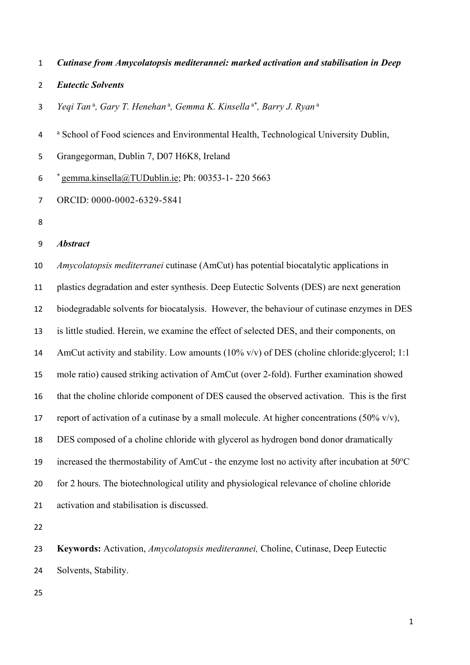- *Cutinase from Amycolatopsis mediterannei: marked activation and stabilisation in Deep*
- *Eutectic Solvents*
- 3 Yeqi Tan<sup>a</sup>, Gary T. Henehan<sup>a</sup>, Gemma K. Kinsella<sup>a\*</sup>, Barry J. Ryan<sup>a</sup>
- <sup>a</sup> School of Food sciences and Environmental Health, Technological University Dublin,
- Grangegorman, Dublin 7, D07 H6K8, Ireland
- $\frac{\epsilon}{2}$  gemma.kinsella@TUDublin.ie; Ph: 00353-1-220 5663
- ORCID: 0000-0002-6329-5841
- 

#### *Abstract*

 *Amycolatopsis mediterranei* cutinase (AmCut) has potential biocatalytic applications in plastics degradation and ester synthesis. Deep Eutectic Solvents (DES) are next generation biodegradable solvents for biocatalysis. However, the behaviour of cutinase enzymes in DES is little studied. Herein, we examine the effect of selected DES, and their components, on 14 AmCut activity and stability. Low amounts (10% v/v) of DES (choline chloride: glycerol; 1:1 mole ratio) caused striking activation of AmCut (over 2-fold). Further examination showed that the choline chloride component of DES caused the observed activation. This is the first 17 report of activation of a cutinase by a small molecule. At higher concentrations (50% v/v), DES composed of a choline chloride with glycerol as hydrogen bond donor dramatically increased the thermostability of AmCut - the enzyme lost no activity after incubation at  $50^{\circ}$ C for 2 hours. The biotechnological utility and physiological relevance of choline chloride activation and stabilisation is discussed.

 **Keywords:** Activation, *Amycolatopsis mediterannei,* Choline, Cutinase, Deep Eutectic Solvents, Stability.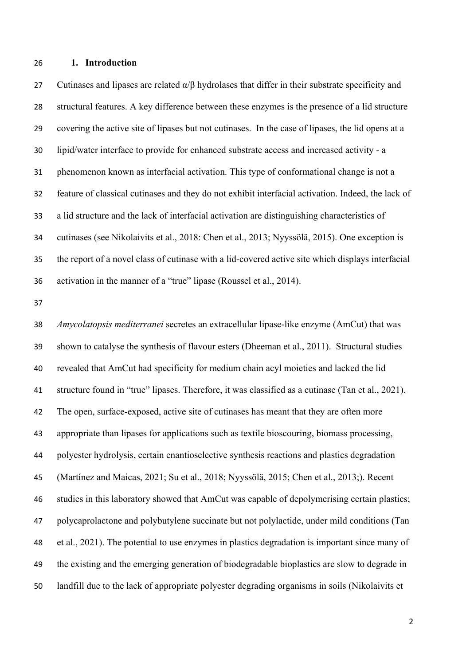**1. Introduction**

27 Cutinases and lipases are related  $\alpha/\beta$  hydrolases that differ in their substrate specificity and structural features. A key difference between these enzymes is the presence of a lid structure covering the active site of lipases but not cutinases. In the case of lipases, the lid opens at a lipid/water interface to provide for enhanced substrate access and increased activity - a phenomenon known as interfacial activation. This type of conformational change is not a feature of classical cutinases and they do not exhibit interfacial activation. Indeed, the lack of a lid structure and the lack of interfacial activation are distinguishing characteristics of cutinases (see Nikolaivits et al., 2018: Chen et al., 2013; Nyyssölä, 2015). One exception is the report of a novel class of cutinase with a lid-covered active site which displays interfacial activation in the manner of a "true" lipase (Roussel et al., 2014).

 *Amycolatopsis mediterranei* secretes an extracellular lipase-like enzyme (AmCut) that was shown to catalyse the synthesis of flavour esters (Dheeman et al., 2011). Structural studies revealed that AmCut had specificity for medium chain acyl moieties and lacked the lid structure found in "true" lipases. Therefore, it was classified as a cutinase (Tan et al., 2021). The open, surface-exposed, active site of cutinases has meant that they are often more appropriate than lipases for applications such as textile bioscouring, biomass processing, polyester hydrolysis, certain enantioselective synthesis reactions and plastics degradation (Martínez and Maicas, 2021; Su et al., 2018; Nyyssölä, 2015; Chen et al., 2013;). Recent studies in this laboratory showed that AmCut was capable of depolymerising certain plastics; polycaprolactone and polybutylene succinate but not polylactide, under mild conditions (Tan et al., 2021). The potential to use enzymes in plastics degradation is important since many of the existing and the emerging generation of biodegradable bioplastics are slow to degrade in landfill due to the lack of appropriate polyester degrading organisms in soils (Nikolaivits et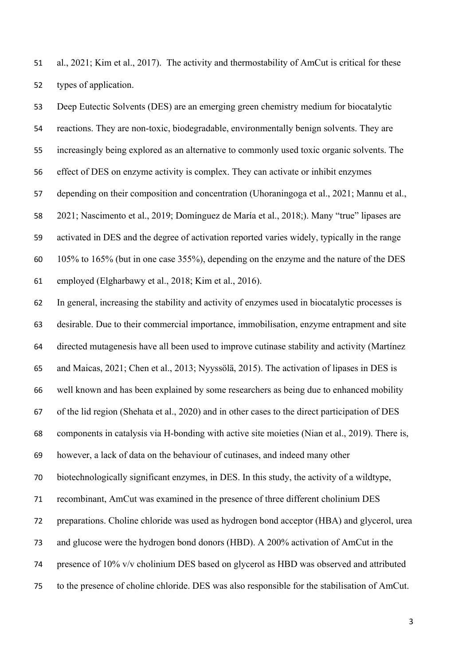al., 2021; Kim et al., 2017). The activity and thermostability of AmCut is critical for these types of application.

 Deep Eutectic Solvents (DES) are an emerging green chemistry medium for biocatalytic reactions. They are non-toxic, biodegradable, environmentally benign solvents. They are increasingly being explored as an alternative to commonly used toxic organic solvents. The effect of DES on enzyme activity is complex. They can activate or inhibit enzymes depending on their composition and concentration (Uhoraningoga et al., 2021; Mannu et al., 2021; Nascimento et al., 2019; Domínguez de María et al., 2018;). Many "true" lipases are activated in DES and the degree of activation reported varies widely, typically in the range 105% to 165% (but in one case 355%), depending on the enzyme and the nature of the DES employed (Elgharbawy et al., 2018; Kim et al., 2016).

 In general, increasing the stability and activity of enzymes used in biocatalytic processes is desirable. Due to their commercial importance, immobilisation, enzyme entrapment and site directed mutagenesis have all been used to improve cutinase stability and activity (Martínez and Maicas, 2021; Chen et al., 2013; Nyyssölä, 2015). The activation of lipases in DES is well known and has been explained by some researchers as being due to enhanced mobility of the lid region (Shehata et al., 2020) and in other cases to the direct participation of DES components in catalysis via H-bonding with active site moieties (Nian et al., 2019). There is, however, a lack of data on the behaviour of cutinases, and indeed many other biotechnologically significant enzymes, in DES. In this study, the activity of a wildtype, recombinant, AmCut was examined in the presence of three different cholinium DES preparations. Choline chloride was used as hydrogen bond acceptor (HBA) and glycerol, urea and glucose were the hydrogen bond donors (HBD). A 200% activation of AmCut in the presence of 10% v/v cholinium DES based on glycerol as HBD was observed and attributed to the presence of choline chloride. DES was also responsible for the stabilisation of AmCut.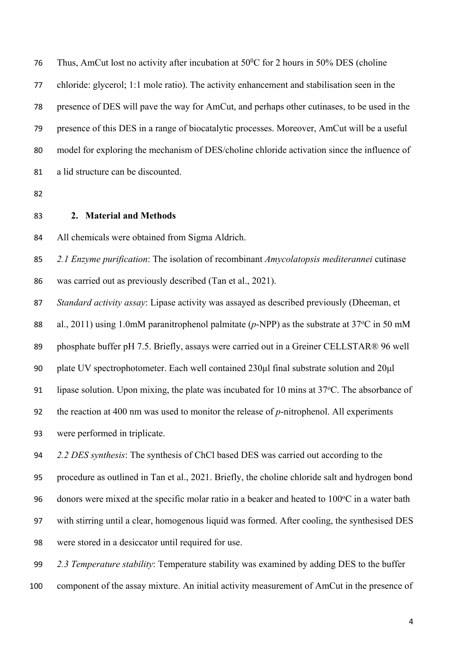76 Thus, AmCut lost no activity after incubation at  $50^{\circ}$ C for 2 hours in 50% DES (choline chloride: glycerol; 1:1 mole ratio). The activity enhancement and stabilisation seen in the presence of DES will pave the way for AmCut, and perhaps other cutinases, to be used in the presence of this DES in a range of biocatalytic processes. Moreover, AmCut will be a useful model for exploring the mechanism of DES/choline chloride activation since the influence of a lid structure can be discounted.

**2. Material and Methods**

All chemicals were obtained from Sigma Aldrich.

*2.1 Enzyme purification*: The isolation of recombinant *Amycolatopsis mediterannei* cutinase

was carried out as previously described (Tan et al., 2021).

*Standard activity assay*: Lipase activity was assayed as described previously (Dheeman, et

88 al., 2011) using 1.0mM paranitrophenol palmitate ( $p$ -NPP) as the substrate at 37<sup>o</sup>C in 50 mM

89 phosphate buffer pH 7.5. Briefly, assays were carried out in a Greiner CELLSTAR® 96 well

plate UV spectrophotometer. Each well contained 230μl final substrate solution and 20μl

91 lipase solution. Upon mixing, the plate was incubated for 10 mins at  $37^{\circ}$ C. The absorbance of

the reaction at 400 nm was used to monitor the release of *p*-nitrophenol. All experiments

were performed in triplicate.

*2.2 DES synthesis*: The synthesis of ChCl based DES was carried out according to the

procedure as outlined in Tan et al., 2021. Briefly, the choline chloride salt and hydrogen bond

96 donors were mixed at the specific molar ratio in a beaker and heated to  $100\degree$ C in a water bath

with stirring until a clear, homogenous liquid was formed. After cooling, the synthesised DES

were stored in a desiccator until required for use.

*2.3 Temperature stability*: Temperature stability was examined by adding DES to the buffer

component of the assay mixture. An initial activity measurement of AmCut in the presence of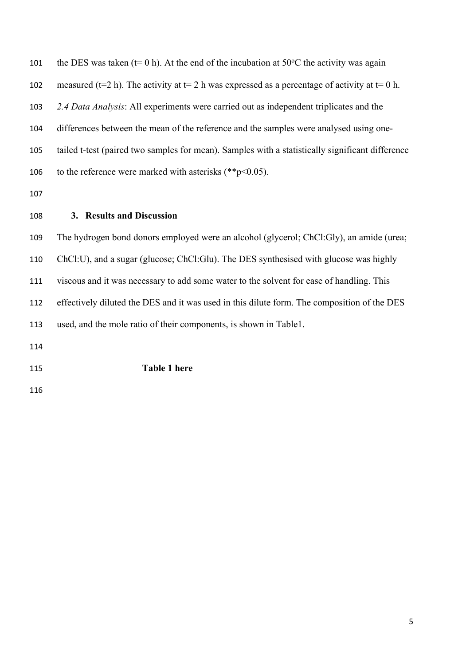| 101 | the DES was taken (t= 0 h). At the end of the incubation at 50 $\degree$ C the activity was again  |
|-----|----------------------------------------------------------------------------------------------------|
| 102 | measured ( $t=2$ h). The activity at $t=2$ h was expressed as a percentage of activity at $t=0$ h. |
| 103 | 2.4 Data Analysis: All experiments were carried out as independent triplicates and the             |
| 104 | differences between the mean of the reference and the samples were analysed using one-             |
| 105 | tailed t-test (paired two samples for mean). Samples with a statistically significant difference   |
| 106 | to the reference were marked with asterisks (** $p$ < 0.05).                                       |
| 107 |                                                                                                    |
|     |                                                                                                    |

**3. Results and Discussion**

 The hydrogen bond donors employed were an alcohol (glycerol; ChCl:Gly), an amide (urea; ChCl:U), and a sugar (glucose; ChCl:Glu). The DES synthesised with glucose was highly viscous and it was necessary to add some water to the solvent for ease of handling. This effectively diluted the DES and it was used in this dilute form. The composition of the DES used, and the mole ratio of their components, is shown in Table1.

**Table 1 here**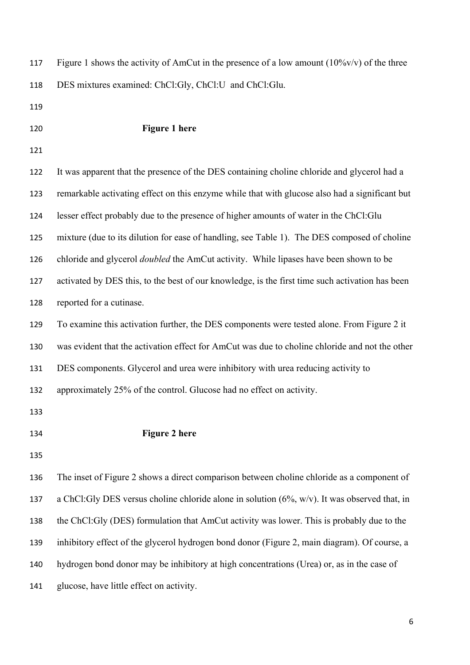| 117 | Figure 1 shows the activity of AmCut in the presence of a low amount $(10\%v/v)$ of the three   |
|-----|-------------------------------------------------------------------------------------------------|
| 118 | DES mixtures examined: ChCl:Gly, ChCl:U and ChCl:Glu.                                           |
| 119 |                                                                                                 |
| 120 | <b>Figure 1 here</b>                                                                            |
| 121 |                                                                                                 |
| 122 | It was apparent that the presence of the DES containing choline chloride and glycerol had a     |
| 123 | remarkable activating effect on this enzyme while that with glucose also had a significant but  |
| 124 | lesser effect probably due to the presence of higher amounts of water in the ChCl:Glu           |
| 125 | mixture (due to its dilution for ease of handling, see Table 1). The DES composed of choline    |
| 126 | chloride and glycerol <i>doubled</i> the AmCut activity. While lipases have been shown to be    |
| 127 | activated by DES this, to the best of our knowledge, is the first time such activation has been |
| 128 | reported for a cutinase.                                                                        |
| 129 | To examine this activation further, the DES components were tested alone. From Figure 2 it      |
| 130 | was evident that the activation effect for AmCut was due to choline chloride and not the other  |
| 131 | DES components. Glycerol and urea were inhibitory with urea reducing activity to                |
| 132 | approximately 25% of the control. Glucose had no effect on activity.                            |
| 133 |                                                                                                 |
| 134 | <b>Figure 2 here</b>                                                                            |
| 135 |                                                                                                 |
| 136 | The inset of Figure 2 shows a direct comparison between choline chloride as a component of      |
| 137 | a ChCl: Gly DES versus choline chloride alone in solution (6%, w/v). It was observed that, in   |
| 138 | the ChCl:Gly (DES) formulation that AmCut activity was lower. This is probably due to the       |
| 139 | inhibitory effect of the glycerol hydrogen bond donor (Figure 2, main diagram). Of course, a    |
| 140 | hydrogen bond donor may be inhibitory at high concentrations (Urea) or, as in the case of       |
|     |                                                                                                 |

glucose, have little effect on activity.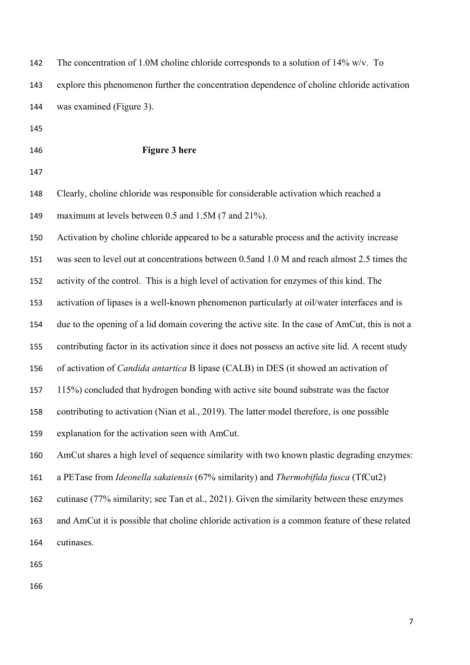| 142 | The concentration of 1.0M choline chloride corresponds to a solution of $14\%$ w/v. To             |
|-----|----------------------------------------------------------------------------------------------------|
| 143 | explore this phenomenon further the concentration dependence of choline chloride activation        |
| 144 | was examined (Figure 3).                                                                           |
| 145 |                                                                                                    |
| 146 | <b>Figure 3 here</b>                                                                               |
| 147 |                                                                                                    |
| 148 | Clearly, choline chloride was responsible for considerable activation which reached a              |
| 149 | maximum at levels between 0.5 and 1.5M (7 and 21%).                                                |
| 150 | Activation by choline chloride appeared to be a saturable process and the activity increase        |
| 151 | was seen to level out at concentrations between 0.5 and 1.0 M and reach almost 2.5 times the       |
| 152 | activity of the control. This is a high level of activation for enzymes of this kind. The          |
| 153 | activation of lipases is a well-known phenomenon particularly at oil/water interfaces and is       |
| 154 | due to the opening of a lid domain covering the active site. In the case of AmCut, this is not a   |
| 155 | contributing factor in its activation since it does not possess an active site lid. A recent study |
| 156 | of activation of Candida antartica B lipase (CALB) in DES (it showed an activation of              |
| 157 | 115%) concluded that hydrogen bonding with active site bound substrate was the factor              |
| 158 | contributing to activation (Nian et al., 2019). The latter model therefore, is one possible        |
| 159 | explanation for the activation seen with AmCut.                                                    |
| 160 | AmCut shares a high level of sequence similarity with two known plastic degrading enzymes:         |
| 161 | a PETase from Ideonella sakaiensis (67% similarity) and Thermobifida fusca (TfCut2)                |
| 162 | cutinase (77% similarity; see Tan et al., 2021). Given the similarity between these enzymes        |
| 163 | and AmCut it is possible that choline chloride activation is a common feature of these related     |
| 164 | cutinases.                                                                                         |
| 165 |                                                                                                    |
|     |                                                                                                    |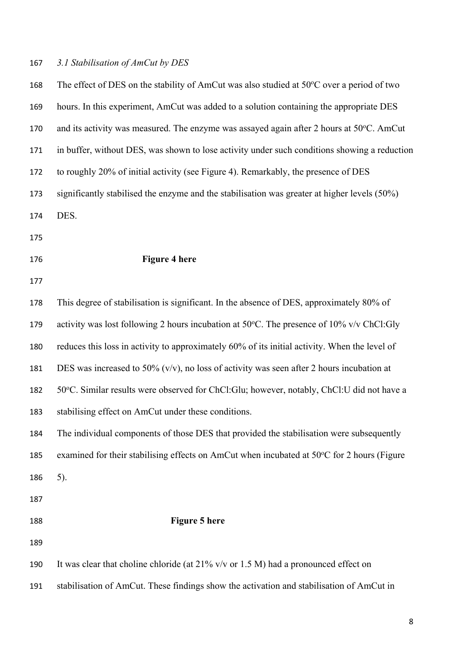## *3.1 Stabilisation of AmCut by DES*

| 168 | The effect of DES on the stability of AmCut was also studied at 50°C over a period of two          |
|-----|----------------------------------------------------------------------------------------------------|
| 169 | hours. In this experiment, AmCut was added to a solution containing the appropriate DES            |
| 170 | and its activity was measured. The enzyme was assayed again after 2 hours at 50°C. AmCut           |
| 171 | in buffer, without DES, was shown to lose activity under such conditions showing a reduction       |
| 172 | to roughly 20% of initial activity (see Figure 4). Remarkably, the presence of DES                 |
| 173 | significantly stabilised the enzyme and the stabilisation was greater at higher levels (50%)       |
| 174 | DES.                                                                                               |
| 175 |                                                                                                    |
| 176 | <b>Figure 4 here</b>                                                                               |
| 177 |                                                                                                    |
| 178 | This degree of stabilisation is significant. In the absence of DES, approximately 80% of           |
| 179 | activity was lost following 2 hours incubation at $50^{\circ}$ C. The presence of 10% v/v ChCl:Gly |
| 180 | reduces this loss in activity to approximately 60% of its initial activity. When the level of      |
| 181 | DES was increased to 50% ( $v/v$ ), no loss of activity was seen after 2 hours incubation at       |
| 182 | 50°C. Similar results were observed for ChCl:Glu; however, notably, ChCl:U did not have a          |
| 183 | stabilising effect on AmCut under these conditions.                                                |
| 184 | The individual components of those DES that provided the stabilisation were subsequently           |
| 185 | examined for their stabilising effects on AmCut when incubated at 50°C for 2 hours (Figure         |
| 186 | 5).                                                                                                |
| 187 |                                                                                                    |
| 188 | <b>Figure 5 here</b>                                                                               |
| 189 |                                                                                                    |
| 190 | It was clear that choline chloride (at $21\%$ v/v or 1.5 M) had a pronounced effect on             |
| 191 | stabilisation of AmCut. These findings show the activation and stabilisation of AmCut in           |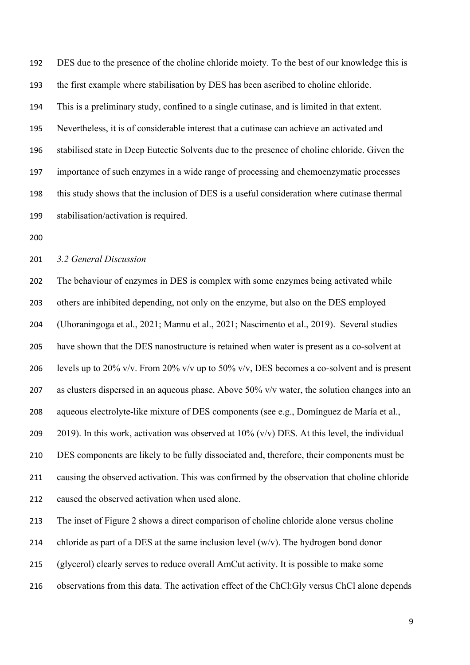DES due to the presence of the choline chloride moiety. To the best of our knowledge this is the first example where stabilisation by DES has been ascribed to choline chloride. This is a preliminary study, confined to a single cutinase, and is limited in that extent. Nevertheless, it is of considerable interest that a cutinase can achieve an activated and stabilised state in Deep Eutectic Solvents due to the presence of choline chloride. Given the importance of such enzymes in a wide range of processing and chemoenzymatic processes this study shows that the inclusion of DES is a useful consideration where cutinase thermal stabilisation/activation is required.

#### *3.2 General Discussion*

 The behaviour of enzymes in DES is complex with some enzymes being activated while others are inhibited depending, not only on the enzyme, but also on the DES employed (Uhoraningoga et al., 2021; Mannu et al., 2021; Nascimento et al., 2019). Several studies have shown that the DES nanostructure is retained when water is present as a co-solvent at 206 levels up to 20% v/v. From 20% v/v up to 50% v/v, DES becomes a co-solvent and is present as clusters dispersed in an aqueous phase. Above 50% v/v water, the solution changes into an aqueous electrolyte-like mixture of DES components (see e.g., Domínguez de María et al., 209 2019). In this work, activation was observed at  $10\%$  (v/v) DES. At this level, the individual DES components are likely to be fully dissociated and, therefore, their components must be causing the observed activation. This was confirmed by the observation that choline chloride caused the observed activation when used alone.

The inset of Figure 2 shows a direct comparison of choline chloride alone versus choline

214 chloride as part of a DES at the same inclusion level  $(w/v)$ . The hydrogen bond donor

(glycerol) clearly serves to reduce overall AmCut activity. It is possible to make some

observations from this data. The activation effect of the ChCl:Gly versus ChCl alone depends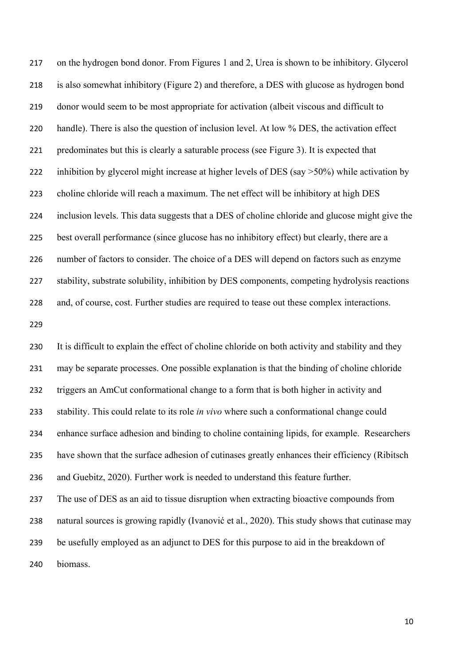on the hydrogen bond donor. From Figures 1 and 2, Urea is shown to be inhibitory. Glycerol is also somewhat inhibitory (Figure 2) and therefore, a DES with glucose as hydrogen bond donor would seem to be most appropriate for activation (albeit viscous and difficult to 220 handle). There is also the question of inclusion level. At low % DES, the activation effect predominates but this is clearly a saturable process (see Figure 3). It is expected that 222 inhibition by glycerol might increase at higher levels of DES (say >50%) while activation by choline chloride will reach a maximum. The net effect will be inhibitory at high DES inclusion levels. This data suggests that a DES of choline chloride and glucose might give the best overall performance (since glucose has no inhibitory effect) but clearly, there are a number of factors to consider. The choice of a DES will depend on factors such as enzyme stability, substrate solubility, inhibition by DES components, competing hydrolysis reactions and, of course, cost. Further studies are required to tease out these complex interactions. 

 It is difficult to explain the effect of choline chloride on both activity and stability and they may be separate processes. One possible explanation is that the binding of choline chloride triggers an AmCut conformational change to a form that is both higher in activity and stability. This could relate to its role *in vivo* where such a conformational change could enhance surface adhesion and binding to choline containing lipids, for example. Researchers have shown that the surface adhesion of cutinases greatly enhances their efficiency (Ribitsch and Guebitz, 2020). Further work is needed to understand this feature further. The use of DES as an aid to tissue disruption when extracting bioactive compounds from natural sources is growing rapidly (Ivanović et al., 2020). This study shows that cutinase may be usefully employed as an adjunct to DES for this purpose to aid in the breakdown of biomass.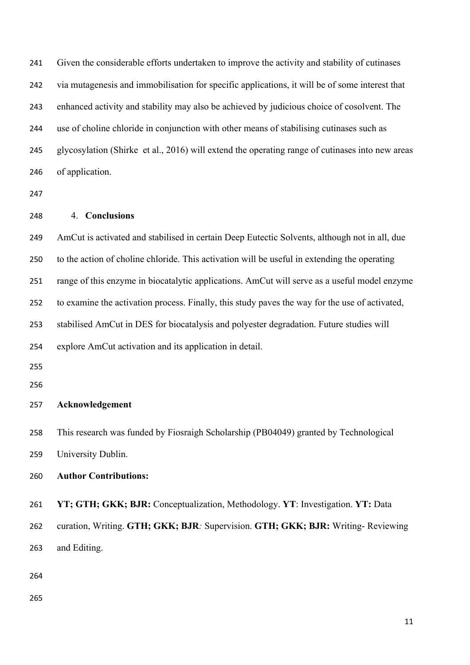Given the considerable efforts undertaken to improve the activity and stability of cutinases via mutagenesis and immobilisation for specific applications, it will be of some interest that enhanced activity and stability may also be achieved by judicious choice of cosolvent. The use of choline chloride in conjunction with other means of stabilising cutinases such as glycosylation (Shirke et al., 2016) will extend the operating range of cutinases into new areas of application.

#### 4. **Conclusions**

 AmCut is activated and stabilised in certain Deep Eutectic Solvents, although not in all, due to the action of choline chloride. This activation will be useful in extending the operating range of this enzyme in biocatalytic applications. AmCut will serve as a useful model enzyme to examine the activation process. Finally, this study paves the way for the use of activated, stabilised AmCut in DES for biocatalysis and polyester degradation. Future studies will explore AmCut activation and its application in detail.

### **Acknowledgement**

 This research was funded by Fiosraigh Scholarship (PB04049) granted by Technological University Dublin.

## **Author Contributions:**

 **YT; GTH; GKK; BJR:** Conceptualization, Methodology. **YT**: Investigation. **YT:** Data curation, Writing. **GTH; GKK; BJR***:* Supervision. **GTH; GKK; BJR:** Writing- Reviewing and Editing.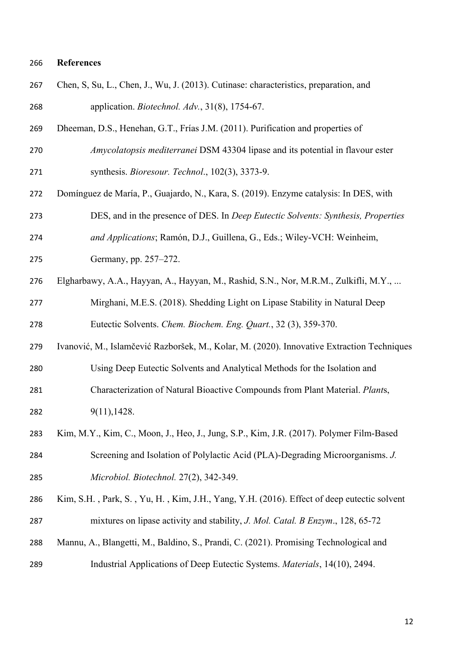## **References**

| 267 | Chen, S, Su, L., Chen, J., Wu, J. (2013). Cutinase: characteristics, preparation, and      |
|-----|--------------------------------------------------------------------------------------------|
| 268 | application. Biotechnol. Adv., 31(8), 1754-67.                                             |
| 269 | Dheeman, D.S., Henehan, G.T., Frías J.M. (2011). Purification and properties of            |
| 270 | Amycolatopsis mediterranei DSM 43304 lipase and its potential in flavour ester             |
| 271 | synthesis. Bioresour. Technol., 102(3), 3373-9.                                            |
| 272 | Domínguez de María, P., Guajardo, N., Kara, S. (2019). Enzyme catalysis: In DES, with      |
| 273 | DES, and in the presence of DES. In <i>Deep Eutectic Solvents: Synthesis, Properties</i>   |
| 274 | and Applications; Ramón, D.J., Guillena, G., Eds.; Wiley-VCH: Weinheim,                    |
| 275 | Germany, pp. 257-272.                                                                      |
| 276 | Elgharbawy, A.A., Hayyan, A., Hayyan, M., Rashid, S.N., Nor, M.R.M., Zulkifli, M.Y.,       |
| 277 | Mirghani, M.E.S. (2018). Shedding Light on Lipase Stability in Natural Deep                |
| 278 | Eutectic Solvents. Chem. Biochem. Eng. Quart., 32 (3), 359-370.                            |
| 279 | Ivanović, M., Islamčević Razboršek, M., Kolar, M. (2020). Innovative Extraction Techniques |
| 280 | Using Deep Eutectic Solvents and Analytical Methods for the Isolation and                  |
| 281 | Characterization of Natural Bioactive Compounds from Plant Material. Plants,               |
| 282 | 9(11), 1428.                                                                               |
| 283 | Kim, M.Y., Kim, C., Moon, J., Heo, J., Jung, S.P., Kim, J.R. (2017). Polymer Film-Based    |
| 284 | Screening and Isolation of Polylactic Acid (PLA)-Degrading Microorganisms. J.              |
| 285 | Microbiol. Biotechnol. 27(2), 342-349.                                                     |
| 286 | Kim, S.H., Park, S., Yu, H., Kim, J.H., Yang, Y.H. (2016). Effect of deep eutectic solvent |
| 287 | mixtures on lipase activity and stability, J. Mol. Catal. B Enzym., 128, 65-72             |
| 288 | Mannu, A., Blangetti, M., Baldino, S., Prandi, C. (2021). Promising Technological and      |
| 289 | Industrial Applications of Deep Eutectic Systems. Materials, 14(10), 2494.                 |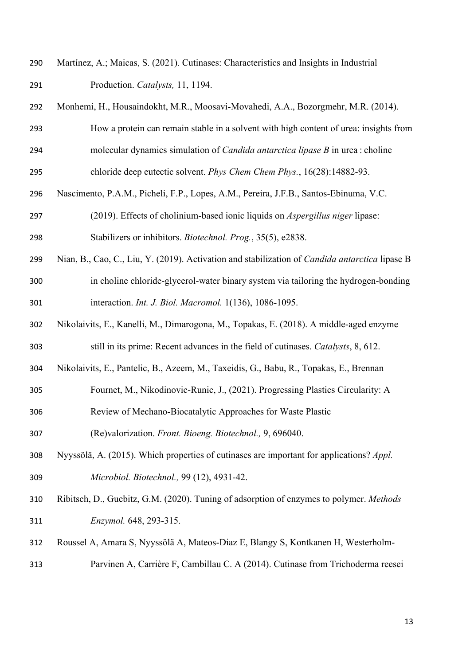- Martínez, A.; Maicas, S. (2021). Cutinases: Characteristics and Insights in Industrial Production. *Catalysts,* 11, 1194.
- Monhemi, H., Housaindokht, M.R., Moosavi-Movahedi, A.A., Bozorgmehr, M.R. (2014).
- How a protein can remain stable in a solvent with high content of urea: insights from molecular dynamics simulation of *Candida antarctica lipase B* in urea : choline
- chloride deep eutectic solvent. *Phys Chem Chem Phys.*, 16(28):14882-93.
- Nascimento, P.A.M., Picheli, F.P., Lopes, A.M., Pereira, J.F.B., Santos-Ebinuma, V.C.
- (2019). Effects of cholinium-based ionic liquids on *Aspergillus niger* lipase: Stabilizers or inhibitors. *Biotechnol. Prog.*, 35(5), e2838.
- Nian, B., Cao, C., Liu, Y. (2019). Activation and stabilization of *Candida antarctica* lipase B in choline chloride-glycerol-water binary system via tailoring the hydrogen-bonding interaction. *Int. J. Biol. Macromol.* 1(136), 1086-1095.
- Nikolaivits, E., Kanelli, M., Dimarogona, M., Topakas, E. (2018). A middle-aged enzyme still in its prime: Recent advances in the field of cutinases. *Catalysts*, 8, 612.
- Nikolaivits, E., Pantelic, B., Azeem, M., Taxeidis, G., Babu, R., Topakas, E., Brennan
- Fournet, M., Nikodinovic-Runic, J., (2021). Progressing Plastics Circularity: A
- Review of Mechano-Biocatalytic Approaches for Waste Plastic

(Re)valorization. *Front. Bioeng. Biotechnol.,* 9, 696040.

- Nyyssölä, A. (2015). Which properties of cutinases are important for applications? *Appl. Microbiol. Biotechnol.,* 99 (12), 4931-42.
- Ribitsch, D., Guebitz, G.M. (2020). Tuning of adsorption of enzymes to polymer. *Methods Enzymol.* 648, 293-315.
- Roussel A, Amara S, Nyyssölä A, Mateos-Diaz E, Blangy S, Kontkanen H, Westerholm-
- Parvinen A, Carrière F, Cambillau C. A (2014). Cutinase from Trichoderma reesei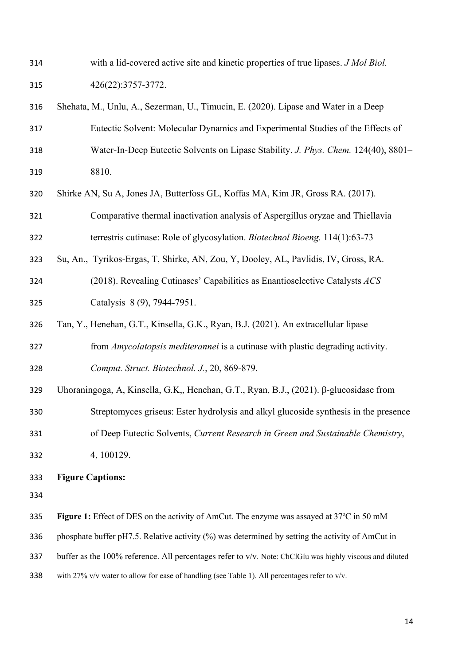- with a lid-covered active site and kinetic properties of true lipases. *J Mol Biol.* 426(22):3757-3772. Shehata, M., Unlu, A., Sezerman, U., Timucin, E. (2020). Lipase and Water in a Deep Eutectic Solvent: Molecular Dynamics and Experimental Studies of the Effects of Water-In-Deep Eutectic Solvents on Lipase Stability. *J. Phys. Chem.* 124(40), 8801– 8810. Shirke AN, Su A, Jones JA, Butterfoss GL, Koffas MA, Kim JR, Gross RA. (2017). Comparative thermal inactivation analysis of Aspergillus oryzae and Thiellavia terrestris cutinase: Role of glycosylation. *Biotechnol Bioeng.* 114(1):63-73 Su, An., Tyrikos-Ergas, T, Shirke, AN, Zou, Y, Dooley, AL, Pavlidis, IV, Gross, RA. (2018). Revealing Cutinases' Capabilities as Enantioselective Catalysts *ACS* Catalysis 8 (9), 7944-7951. Tan, Y., Henehan, G.T., Kinsella, G.K., Ryan, B.J. (2021). An extracellular lipase from *Amycolatopsis mediterannei* is a cutinase with plastic degrading activity. *Comput. Struct. Biotechnol. J.*, 20, 869-879. Uhoraningoga, A, Kinsella, G.K,, Henehan, G.T., Ryan, B.J., (2021). β-glucosidase from Streptomyces griseus: Ester hydrolysis and alkyl glucoside synthesis in the presence of Deep Eutectic Solvents, *Current Research in Green and Sustainable Chemistry*, 4, 100129. **Figure Captions: Figure 1:** Effect of DES on the activity of AmCut. The enzyme was assayed at 37<sup>o</sup>C in 50 mM 336 phosphate buffer pH7.5. Relative activity (%) was determined by setting the activity of AmCut in buffer as the 100% reference. All percentages refer to v/v. Note: ChClGlu was highly viscous and diluted
	- 338 with 27% v/v water to allow for ease of handling (see Table 1). All percentages refer to v/v.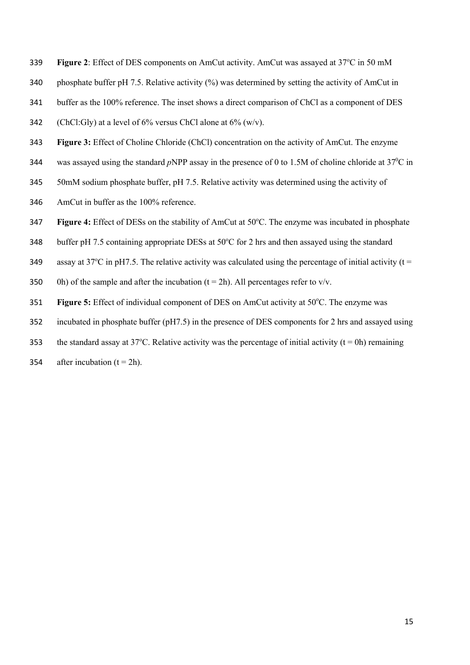- **Figure 2:** Effect of DES components on AmCut activity. AmCut was assayed at 37°C in 50 mM
- 340 phosphate buffer pH 7.5. Relative activity  $\frac{6}{9}$  was determined by setting the activity of AmCut in
- 341 buffer as the 100% reference. The inset shows a direct comparison of ChCl as a component of DES
- 342 (ChCl:Gly) at a level of  $6\%$  versus ChCl alone at  $6\%$  (w/v).
- 343 **Figure 3:** Effect of Choline Chloride (ChCl) concentration on the activity of AmCut. The enzyme
- 344 was assayed using the standard *p*NPP assay in the presence of 0 to 1.5M of choline chloride at  $37^{\circ}$ C in
- 345 50mM sodium phosphate buffer, pH 7.5. Relative activity was determined using the activity of
- 346 AmCut in buffer as the 100% reference.
- **Figure 4:** Effect of DESs on the stability of AmCut at 50°C. The enzyme was incubated in phosphate
- 348 buffer pH 7.5 containing appropriate DESs at  $50^{\circ}$ C for 2 hrs and then assayed using the standard
- 349 assay at 37<sup>o</sup>C in pH7.5. The relative activity was calculated using the percentage of initial activity (t =
- 350 0h) of the sample and after the incubation  $(t = 2h)$ . All percentages refer to v/v.
- **Figure 5:** Effect of individual component of DES on AmCut activity at 50°C. The enzyme was
- 352 incubated in phosphate buffer (pH7.5) in the presence of DES components for 2 hrs and assayed using
- 353 the standard assay at 37<sup>o</sup>C. Relative activity was the percentage of initial activity (t = 0h) remaining
- 354 after incubation  $(t = 2h)$ .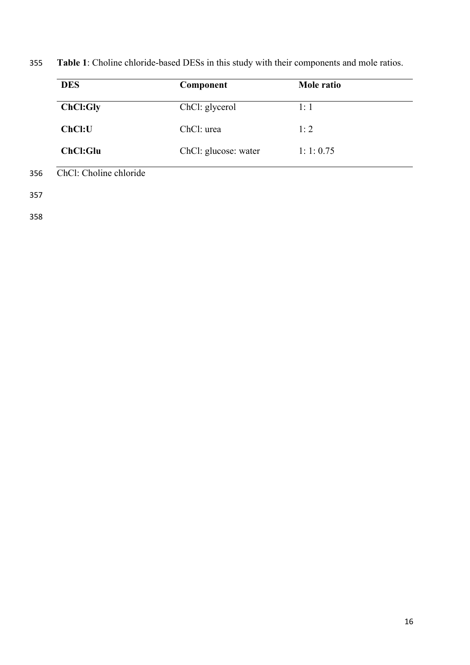| <b>DES</b>      | Component            | Mole ratio |
|-----------------|----------------------|------------|
| ChCl:Gly        | ChCl: glycerol       | 1:1        |
| ChCl:U          | ChCl: urea           | 1:2        |
| <b>ChCl:Glu</b> | ChCl: glucose: water | 1:1:0.75   |

355 **Table 1**: Choline chloride-based DESs in this study with their components and mole ratios.

357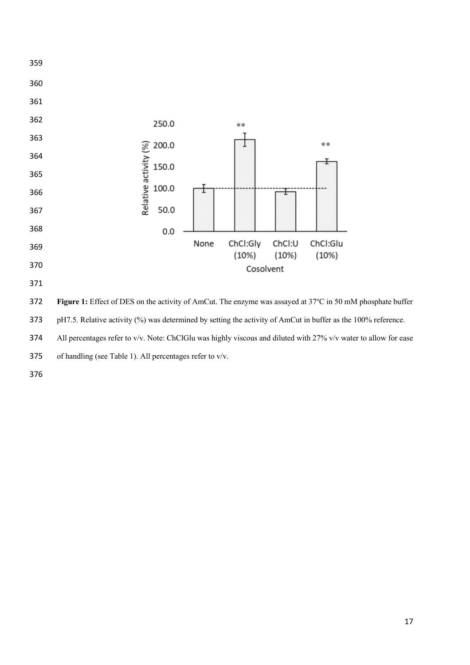

**Figure 1:** Effect of DES on the activity of AmCut. The enzyme was assayed at 37°C in 50 mM phosphate buffer

pH7.5. Relative activity (%) was determined by setting the activity of AmCut in buffer as the 100% reference.

All percentages refer to v/v. Note: ChClGlu was highly viscous and diluted with 27% v/v water to allow for ease

of handling (see Table 1). All percentages refer to v/v.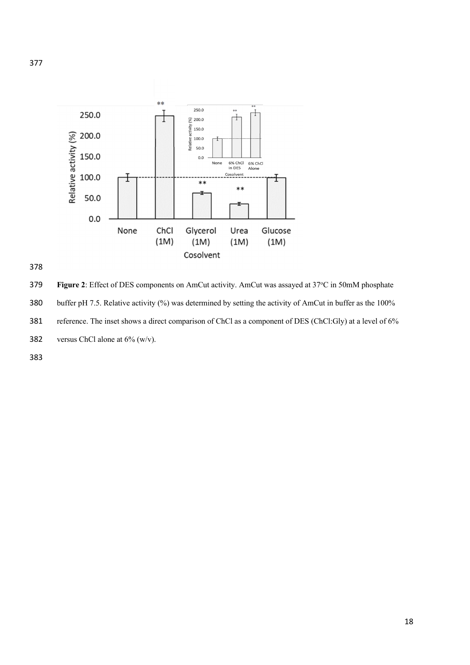



**Figure 2**: Effect of DES components on AmCut activity. AmCut was assayed at 37°C in 50mM phosphate 380 buffer pH 7.5. Relative activity (%) was determined by setting the activity of AmCut in buffer as the 100% reference. The inset shows a direct comparison of ChCl as a component of DES (ChCl:Gly) at a level of 6% 382 versus ChCl alone at  $6\%$  (w/v).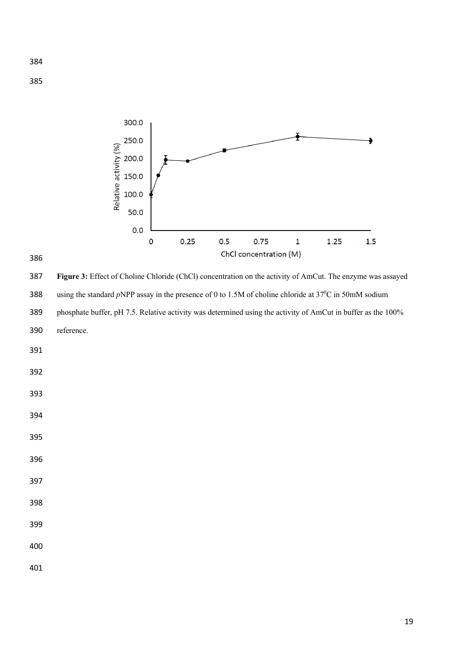



 **Figure 3:** Effect of Choline Chloride (ChCl) concentration on the activity of AmCut. The enzyme was assayed 388 using the standard *p*NPP assay in the presence of 0 to 1.5M of choline chloride at 37<sup>0</sup>C in 50mM sodium phosphate buffer, pH 7.5. Relative activity was determined using the activity of AmCut in buffer as the 100% reference.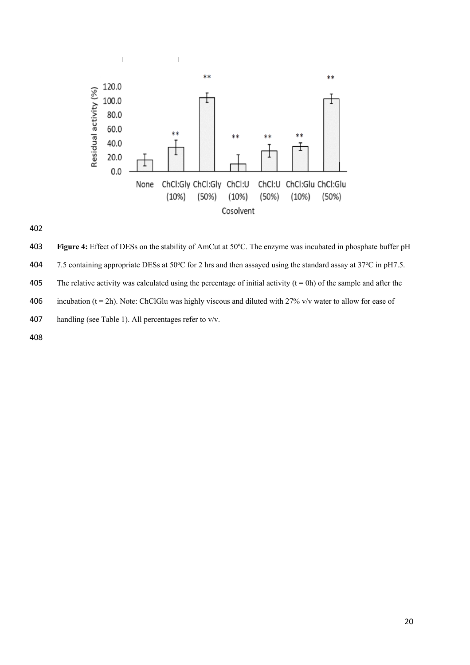



 Figure 4: Effect of DESs on the stability of AmCut at 50°C. The enzyme was incubated in phosphate buffer pH 404 7.5 containing appropriate DESs at 50°C for 2 hrs and then assayed using the standard assay at 37°C in pH7.5. 405 The relative activity was calculated using the percentage of initial activity  $(t = 0h)$  of the sample and after the

406 incubation (t = 2h). Note: ChClGlu was highly viscous and diluted with 27% v/v water to allow for ease of

- handling (see Table 1). All percentages refer to v/v.
-